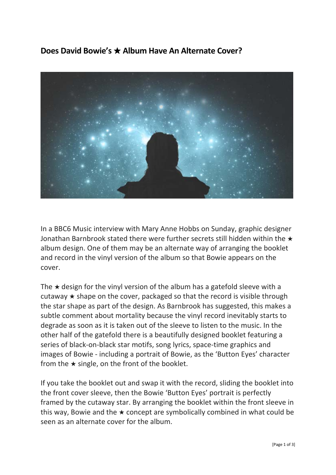**Does David Bowie's** ★ **Album Have An Alternate Cover?**



In a BBC6 Music interview with Mary Anne Hobbs on Sunday, graphic designer Jonathan Barnbrook stated there were further secrets still hidden within the ★ album design. One of them may be an alternate way of arranging the booklet and record in the vinyl version of the album so that Bowie appears on the cover.

The  $\star$  design for the vinyl version of the album has a gatefold sleeve with a cutaway  $\star$  shape on the cover, packaged so that the record is visible through the star shape as part of the design. As Barnbrook has suggested, this makes a subtle comment about mortality because the vinyl record inevitably starts to degrade as soon as it is taken out of the sleeve to listen to the music. In the other half of the gatefold there is a beautifully designed booklet featuring a series of black-on-black star motifs, song lyrics, space-time graphics and images of Bowie ‐ including a portrait of Bowie, as the 'Button Eyes' character from the  $\star$  single, on the front of the booklet.

If you take the booklet out and swap it with the record, sliding the booklet into the front cover sleeve, then the Bowie 'Button Eyes' portrait is perfectly framed by the cutaway star. By arranging the booklet within the front sleeve in this way, Bowie and the  $\star$  concept are symbolically combined in what could be seen as an alternate cover for the album.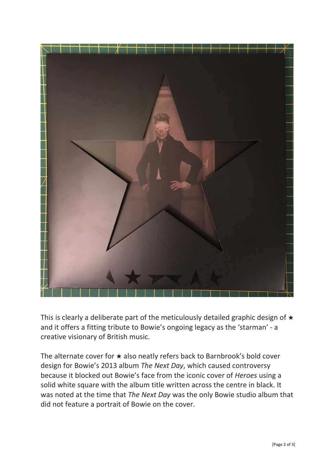

This is clearly a deliberate part of the meticulously detailed graphic design of ★ and it offers a fitting tribute to Bowie's ongoing legacy as the 'starman' ‐ a creative visionary of British music.

The alternate cover for  $\star$  also neatly refers back to Barnbrook's bold cover design for Bowie's 2013 album *The Next Day*, which caused controversy because it blocked out Bowie's face from the iconic cover of *Heroes* using a solid white square with the album title written across the centre in black. It was noted at the time that *The Next Day* was the only Bowie studio album that did not feature a portrait of Bowie on the cover.